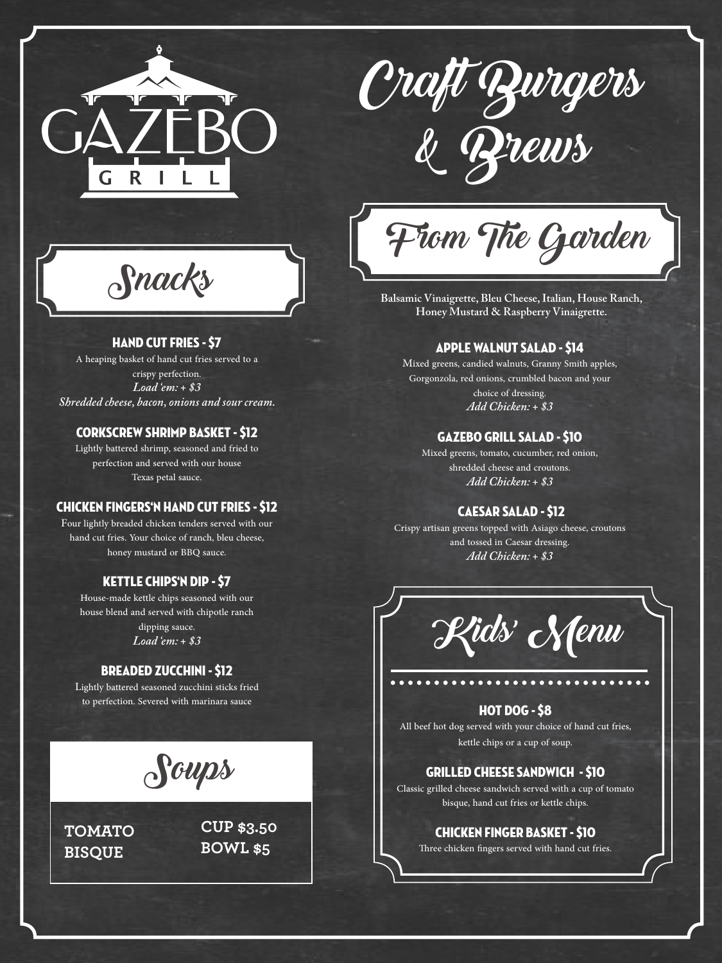



Snacks

# Hand Cut Fries - \$7

A heaping basket of hand cut fries served to a crispy perfection. *Load 'em: + \$3 Shredded cheese, bacon, onions and sour cream.*

### Corkscrew Shrimp Basket - \$12

Lightly battered shrimp, seasoned and fried to perfection and served with our house Texas petal sauce.

#### Chicken Fingers'n Hand Cut Fries - \$12

Four lightly breaded chicken tenders served with our hand cut fries. Your choice of ranch, bleu cheese, honey mustard or BBQ sauce.

# Kettle Chips'n Dip - \$7

House-made kettle chips seasoned with our house blend and served with chipotle ranch dipping sauce. *Load 'em: + \$3*

# Breaded Zucchini - \$12

Lightly battered seasoned zucchini sticks fried to perfection. Severed with marinara sauce



**TOMATO BISQUE**

**CUP \$3.50 BOWL \$5**

From The Garden

**Balsamic Vinaigrette, Bleu Cheese, Italian, House Ranch, Honey Mustard & Raspberry Vinaigrette.**

#### Apple Walnut Salad - \$14

Mixed greens, candied walnuts, Granny Smith apples, Gorgonzola, red onions, crumbled bacon and your choice of dressing. *Add Chicken: + \$3*

#### Gazebo Grill Salad - \$10

Mixed greens, tomato, cucumber, red onion, shredded cheese and croutons. *Add Chicken: + \$3*

# Caesar Salad - \$12

Crispy artisan greens topped with Asiago cheese, croutons and tossed in Caesar dressing. *Add Chicken: + \$3*



# Hot Dog - \$8

All beef hot dog served with your choice of hand cut fries, kettle chips or a cup of soup.

## Grilled Cheese Sandwich - \$10

Classic grilled cheese sandwich served with a cup of tomato bisque, hand cut fries or kettle chips.

#### Chicken Finger Basket - \$10

Three chicken fingers served with hand cut fries.